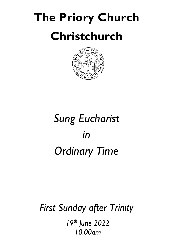# **The Priory Church Christchurch**



# *Sung Eucharist in Ordinary Time*

# *First Sunday after Trinity*

*19th June 2022 10.00am*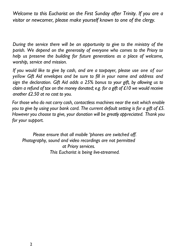*Welcome to this Eucharist on the First Sunday after Trinity. If you are a visitor or newcomer, please make yourself known to one of the clergy.*

*During the service there will be an opportunity to give to the ministry of the parish. We depend on the generosity of everyone who comes to the Priory to help us preserve the building for future generations as a place of welcome, worship, service and mission.*

*If you would like to give by cash, and are a taxpayer, please use one of our yellow Gift Aid envelopes and be sure to fill in your name and address and sign the declaration. Gift Aid adds a 25% bonus to your gift, by allowing us to claim a refund of tax on the money donated; e.g. for a gift of £10 we would receive another £2.50 at no cost to you.* 

*For those who do not carry cash, contactless machines near the exit which enable you to give by using your bank card. The current default setting is for a gift of £5. However you choose to give, your donation will be greatly appreciated. Thank you for your support.* 

*Please ensure that all mobile 'phones are switched off. Photography, sound and video recordings are not permitted at Priory services. This Eucharist is being live-streamed.*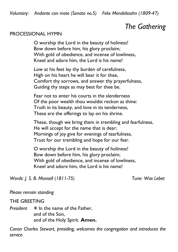# *The Gathering*

#### PROCESSIONAL HYMN

O worship the Lord in the beauty of holiness! Bow down before him, his glory proclaim; With gold of obedience, and incense of lowliness, Kneel and adore him, the Lord is his name!

Low at his feet lay thy burden of carefulness, High on his heart he will bear it for thee, Comfort thy sorrows, and answer thy prayerfulness, Guiding thy steps as may best for thee be.

Fear not to enter his courts in the slenderness Of the poor wealth thou wouldst reckon as thine: Truth in its beauty, and love in its tenderness, These are the offerings to lay on his shrine.

These, though we bring them in trembling and fearfulness, He will accept for the name that is dear; Mornings of joy give for evenings of tearfulness, Trust for our trembling and hope for our fear.

O worship the Lord in the beauty of holiness! Bow down before him, his glory proclaim; With gold of obedience, and incense of lowliness, Kneel and adore him, the Lord is his name!

*Words: J. S. B. Monsell (1811-75) Tune: Was Lebet*

*Please remain standing*

#### THE GREETING

*President*  $\otimes$  In the name of the Father, and of the Son, and of the Holy Spirit. **Amen.** 

 *Canon Charles Stewart, presiding, welcomes the congregation and introduces the service.*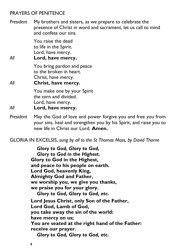## PRAYERS OF PENITENCE

*President* My brothers and sisters, as we prepare to celebrate the presence of Christ in word and sacrament, let us call to mind and confess our sins.

> You raise the dead to life in the Spirit. Lord, have mercy.

*All* **Lord, have mercy.**

You bring pardon and peace to the broken in heart. Christ, have mercy.

*All* **Christ, have mercy.**

You make one by your Spirit the torn and divided. Lord, have mercy.

- *All* **Lord, have mercy.**
- *President* May the God of love and power forgive you and free you from your sins, heal and strengthen you by his Spirit, and raise you to new life in Christ our Lord. **Amen.**

GLORIA IN EXCELSIS, *sung by all to the St Thomas Mass, by David Thorne*

*Glory to God, Glory to God, Glory to God in the Highest.* **Glory to God in the Highest, and peace to his people on earth. Lord God, heavenly King, Almighty God and Father, we worship you, we give you thanks, we praise you for your glory.** *Glory to God, Glory to God, etc.* **Lord Jesus Christ, only Son of the Father, Lord God, Lamb of God, you take away the sin of the world: have mercy on us; You are seated at the right hand of the Father: receive our prayer.** *Glory to God, Glory to God, etc.*

4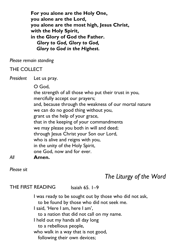**For you alone are the Holy One, you alone are the Lord, you alone are the most high, Jesus Christ, with the Holy Spirit, in the Glory of God the Father.** *Glory to God, Glory to God, Glory to God in the Highest.*

*Please remain standing*

# THE COLLECT

*President* Let us pray.

O God,

the strength of all those who put their trust in you, mercifully accept our prayers; and, because through the weakness of our mortal nature we can do no good thing without you, grant us the help of your grace, that in the keeping of your commandments we may please you both in will and deed; through Jesus Christ your Son our Lord, who is alive and reigns with you, in the unity of the Holy Spirit, one God, now and for ever. *All* **Amen.**

*Please sit*

# *The Liturgy of the Word*

THE FIRST READING Isaiah 65. 1–9

I was ready to be sought out by those who did not ask, to be found by those who did not seek me.

I said, 'Here I am, here I am',

to a nation that did not call on my name.

I held out my hands all day long

to a rebellious people,

who walk in a way that is not good,

following their own devices;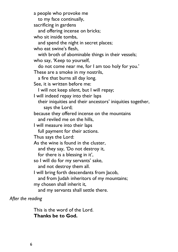a people who provoke me to my face continually, sacrificing in gardens and offering incense on bricks; who sit inside tombs, and spend the night in secret places; who eat swine's flesh, with broth of abominable things in their vessels; who say, 'Keep to yourself, do not come near me, for I am too holy for you.' These are a smoke in my nostrils, a fire that burns all day long. See, it is written before me: I will not keep silent, but I will repay; I will indeed repay into their laps their iniquities and their ancestors' iniquities together, says the Lord; because they offered incense on the mountains and reviled me on the hills, I will measure into their laps full payment for their actions. Thus says the Lord: As the wine is found in the cluster, and they say, 'Do not destroy it, for there is a blessing in it', so I will do for my servants' sake, and not destroy them all. I will bring forth descendants from Jacob, and from Judah inheritors of my mountains; my chosen shall inherit it, and my servants shall settle there.

*After the reading*

This is the word of the Lord. **Thanks be to God.**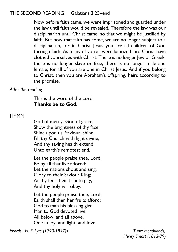# THE SECOND READING Galatians 3.23–end

Now before faith came, we were imprisoned and guarded under the law until faith would be revealed. Therefore the law was our disciplinarian until Christ came, so that we might be justified by faith. But now that faith has come, we are no longer subject to a disciplinarian, for in Christ Jesus you are all children of God through faith. As many of you as were baptized into Christ have clothed yourselves with Christ. There is no longer Jew or Greek, there is no longer slave or free, there is no longer male and female; for all of you are one in Christ Jesus. And if you belong to Christ, then you are Abraham's offspring, heirs according to the promise.

*After the reading*

This is the word of the Lord. **Thanks be to God.** 

#### **HYMN**

God of mercy, God of grace, Show the brightness of thy face: Shine upon us, Saviour, shine, Fill thy Church with light divine; And thy saving health extend Unto earth's remotest end.

Let the people praise thee, Lord; Be by all that live adored: Let the nations shout and sing, Glory to their Saviour King; At thy feet their tribute pay, And thy holy will obey.

Let the people praise thee, Lord; Earth shall then her fruits afford; God to man his blessing give, Man to God devoted live; All below, and all above, One in joy, and light, and love.

*Words: H. F. Lyte (1793-1847)s Tune: Heathlands,*

*Henry Smart (1813-79)*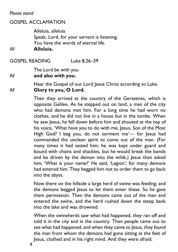*Please stand*

# GOSPEL ACCLAMATION

Alleluia, alleluia. Speak, Lord, for your servant is listening. You have the words of eternal life.

*All* **Alleluia.**

GOSPEL READING Luke 8.26–39

The Lord be with you

# *All* **and also with you.**

Hear the Gospel of our Lord Jesus Christ according to Luke. *All* **Glory to you, O Lord.**

> Then they arrived at the country of the Gerasenes, which is opposite Galilee. As he stepped out on land, a man of the city who had demons met him. For a long time he had worn no clothes, and he did not live in a house but in the tombs. When he saw lesus, he fell down before him and shouted at the top of his voice, 'What have you to do with me, Jesus, Son of the Most High God? I beg you, do not torment me'— for Jesus had commanded the unclean spirit to come out of the man. (For many times it had seized him; he was kept under guard and bound with chains and shackles, but he would break the bonds and be driven by the demon into the wilds.) Jesus then asked him, 'What is your name?' He said, 'Legion'; for many demons had entered him. They begged him not to order them to go back into the abyss.

> Now there on the hillside a large herd of swine was feeding; and the demons begged Jesus to let them enter these. So he gave them permission. Then the demons came out of the man and entered the swine, and the herd rushed down the steep bank into the lake and was drowned.

> When the swineherds saw what had happened, they ran off and told it in the city and in the country. Then people came out to see what had happened, and when they came to Jesus, they found the man from whom the demons had gone sitting at the feet of Jesus, clothed and in his right mind. And they were afraid.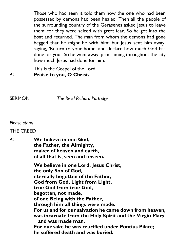Those who had seen it told them how the one who had been possessed by demons had been healed. Then all the people of the surrounding country of the Gerasenes asked Jesus to leave them; for they were seized with great fear. So he got into the boat and returned. The man from whom the demons had gone begged that he might be with him; but Jesus sent him away, saying, 'Return to your home, and declare how much God has done for you.' So he went away, proclaiming throughout the city how much Jesus had done for him.

This is the Gospel of the Lord. *All* **Praise to you, O Christ.**

SERMON *The Revd Richard Partridge*

#### *Please stand*

#### THE CREED

*All* **We believe in one God, the Father, the Almighty, maker of heaven and earth, of all that is, seen and unseen. We believe in one Lord, Jesus Christ, the only Son of God, eternally begotten of the Father, God from God, Light from Light,**

**true God from true God, begotten, not made, of one Being with the Father, through him all things were made. For us and for our salvation he came down from heaven, was incarnate from the Holy Spirit and the Virgin Mary and was made man. For our sake he was crucified under Pontius Pilate; he suffered death and was buried.**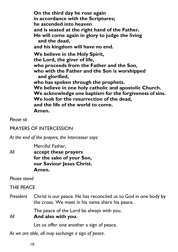**On the third day he rose again in accordance with the Scriptures; he ascended into heaven and is seated at the right hand of the Father. He will come again in glory to judge the living and the dead, and his kingdom will have no end. We believe in the Holy Spirit, the Lord, the giver of life, who proceeds from the Father and the Son, who with the Father and the Son is worshipped and glorified, who has spoken through the prophets. We believe in one holy catholic and apostolic Church. We acknowledge one baptism for the forgiveness of sins. We look for the resurrection of the dead, and the life of the world to come. Amen.**

*Please sit*

## PRAYERS OF INTERCESSION

*At the end of the prayers, the Intercessor says:* 

Merciful Father, *All* **accept these prayers for the sake of your Son, our Saviour Jesus Christ. Amen.**

*Please stand*

THE PEACE

*President* Christ is our peace. He has reconciled us to God in one body by the cross. We meet in his name share his peace.

The peace of the Lord be always with you.

*All* **And also with you.** 

Let us offer one another a sign of peace.

*As we are able, all may exchange a sign of peace*.

10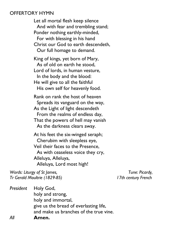#### OFFERTORY HYMN

Let all mortal flesh keep silence And with fear and trembling stand; Ponder nothing earthly-minded, For with blessing in his hand Christ our God to earth descendeth, Our full homage to demand.

King of kings, yet born of Mary, As of old on earth he stood, Lord of lords, in human vesture, In the body and the blood: He will give to all the faithful His own self for heavenly food.

Rank on rank the host of heaven Spreads its vanguard on the way, As the Light of light descendeth From the realms of endless day, That the powers of hell may vanish As the darkness clears away.

At his feet the six-winged seraph; Cherubim with sleepless eye, Veil their faces to the Presence, As with ceaseless voice they cry, Alleluya, Alleluya, Alleluya, Lord most high!

*Words: Liturgy of St James, Tune: Picardy, Tr Gerald Moultrie (1829-85) 17th century French*

*President* Holy God, holy and strong, holy and immortal, give us the bread of everlasting life, and make us branches of the true vine. *All* **Amen.**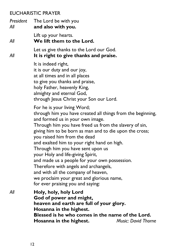# EUCHARISTIC PRAYER

*President* The Lord be with you *All* **and also with you.**  Lift up your hearts. *All* **We lift them to the Lord.** Let us give thanks to the Lord our God. *All* **It is right to give thanks and praise.** It is indeed right, it is our duty and our joy, at all times and in all places to give you thanks and praise, holy Father, heavenly King, almighty and eternal God, through Jesus Christ your Son our Lord. For he is your living Word; through him you have created all things from the beginning, and formed us in your own image. Through him you have freed us from the slavery of sin, giving him to be born as man and to die upon the cross; you raised him from the dead and exalted him to your right hand on high. Through him you have sent upon us your Holy and life-giving Spirit, and made us a people for your own possession. Therefore with angels and archangels, and with all the company of heaven, we proclaim your great and glorious name, for ever praising you and saying: *All* **Holy, holy, holy Lord God of power and might, heaven and earth are full of your glory. Hosanna in the highest. Blessed is he who comes in the name of the Lord. Hosanna in the highest.** *Music: David Thorne*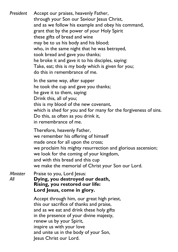*President* Accept our praises, heavenly Father, through your Son our Saviour Jesus Christ, and as we follow his example and obey his command, grant that by the power of your Holy Spirit these gifts of bread and wine may be to us his body and his blood; who, in the same night that he was betrayed, took bread and gave you thanks; he broke it and gave it to his disciples, saying: Take, eat; this is my body which is given for you; do this in remembrance of me. In the same way, after supper he took the cup and gave you thanks; he gave it to them, saying: Drink this, all of you; this is my blood of the new covenant, which is shed for you and for many for the forgiveness of sins. Do this, as often as you drink it, in remembrance of me. Therefore, heavenly Father, we remember his offering of himself made once for all upon the cross; we proclaim his mighty resurrection and glorious ascension; we look for the coming of your kingdom, and with this bread and this cup we make the memorial of Christ your Son our Lord. *Minister* Praise to you, Lord Jesus: *All* **Dying, you destroyed our death, Rising, you restored our life: Lord Jesus, come in glory.**

Accept through him, our great high priest, this our sacrifice of thanks and praise, and as we eat and drink these holy gifts in the presence of your divine majesty, renew us by your Spirit, inspire us with your love and unite us in the body of your Son, Jesus Christ our Lord.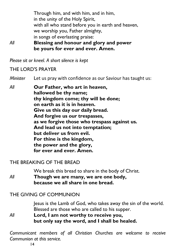Through him, and with him, and in him, in the unity of the Holy Spirit, with all who stand before you in earth and heaven, we worship you, Father almighty, in songs of everlasting praise: *All* **Blessing and honour and glory and power be yours for ever and ever. Amen.**

*Please sit or kneel. A short silence is kept*

# THE LORD'S PRAYER

*Minister* Let us pray with confidence as our Saviour has taught us:

*All* **Our Father, who art in heaven, hallowed be thy name; thy kingdom come; thy will be done; on earth as it is in heaven. Give us this day our daily bread. And forgive us our trespasses, as we forgive those who trespass against us. And lead us not into temptation; but deliver us from evil. For thine is the kingdom, the power and the glory, for ever and ever. Amen.**

#### THE BREAKING OF THE BREAD

We break this bread to share in the body of Christ. *All* **Though we are many, we are one body, because we all share in one bread.**

# THE GIVING OF COMMUNION

Jesus is the Lamb of God, who takes away the sin of the world. Blessed are those who are called to his supper. *All* **Lord, I am not worthy to receive you, but only say the word, and I shall be healed.**

*Communicant members of all Christian Churches are welcome to receive Communion at this service.*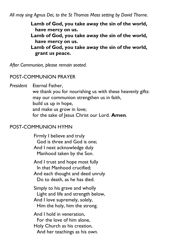*All may sing Agnus Dei, to the St Thomas Mass setting by David Thorne.*

**Lamb of God, you take away the sin of the world, have mercy on us. Lamb of God, you take away the sin of the world, have mercy on us. Lamb of God, you take away the sin of the world, grant us peace.**

*After Communion, please remain seated.*

#### POST-COMMUNION PRAYER

*President* Eternal Father, we thank you for nourishing us with these heavenly gifts: may our communion strengthen us in faith, build us up in hope, and make us grow in love; for the sake of Jesus Christ our Lord. **Amen**.

#### POST-COMMUNION HYMN

Firmly I believe and truly God is three and God is one; And I next acknowledge duly Manhood taken by the Son.

And I trust and hope most fully In that Manhood crucified; And each thought and deed unruly Do to death, as he has died.

Simply to his grave and wholly Light and life and strength below, And I love supremely, solely, Him the holy, him the strong.

And I hold in veneration, For the love of him alone, Holy Church as his creation, And her teachings as his own.